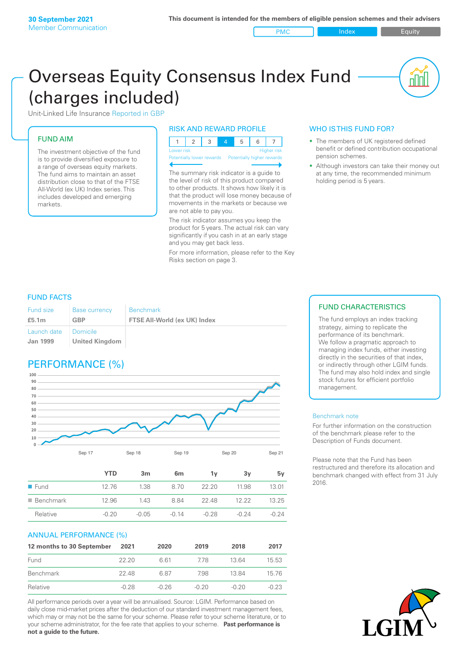PMC Index PMC Equity

<u>nini</u>

# Overseas Equity Consensus Index Fund (charges included)

Unit-Linked Life Insurance Reported in GBP

# FUND AIM

The investment objective of the fund is to provide diversified exposure to a range of overseas equity markets. The fund aims to maintain an asset distribution close to that of the FTSE All-World (ex UK) Index series. This includes developed and emerging markets.

# RISK AND REWARD PROFILE

| Lower risk |  |  | <b>Higher</b> risk |
|------------|--|--|--------------------|

ntially lower rewards Potentially higher rev

The summary risk indicator is a guide to the level of risk of this product compared to other products. It shows how likely it is that the product will lose money because of movements in the markets or because we are not able to pay you.

The risk indicator assumes you keep the product for 5 years. The actual risk can vary significantly if you cash in at an early stage and you may get back less.

For more information, please refer to the Key Risks section on page 3.

# WHO IS THIS FUND FOR?

- The members of UK registered defined benefit or defined contribution occupational pension schemes.
- Although investors can take their money out at any time, the recommended minimum holding period is 5 years.

# FUND FACTS

| <b>Fund size</b>                          | <b>Base currency</b>  | <b>Benchmark</b>             |
|-------------------------------------------|-----------------------|------------------------------|
| £5.1m                                     | <b>GBP</b>            | FTSE All-World (ex UK) Index |
| Launch date   Domicile<br><b>Jan 1999</b> | <b>United Kingdom</b> |                              |

# PERFORMANCE (%)



|                          | <b>YTD</b> | 3m      | 6m      | ٦v      | З٧      | 5v      |
|--------------------------|------------|---------|---------|---------|---------|---------|
| $\blacksquare$ Fund      | 1276       | 1.38    | 8.70    | 22.20   | 11.98   | 13 01   |
| $\blacksquare$ Benchmark | 12.96      | 1.43    | 884     | 22.48   | 12.22   | 13 25   |
| Relative                 | $-0.20$    | $-0.05$ | $-0.14$ | $-0.28$ | $-0.24$ | $-0.24$ |

# ANNUAL PERFORMANCE (%)

| 12 months to 30 September | 2021    | 2020    | 2019    | 2018    | 2017    |
|---------------------------|---------|---------|---------|---------|---------|
| Fund                      | 22.20   | 661     | 778     | 13.64   | 15.53   |
| Benchmark                 | 22.48   | 6.87    | 798     | 1384    | 15 76   |
| Relative                  | $-0.28$ | $-0.26$ | $-0.20$ | $-0.20$ | $-0.23$ |

All performance periods over a year will be annualised. Source: LGIM. Performance based on daily close mid-market prices after the deduction of our standard investment management fees, which may or may not be the same for your scheme. Please refer to your scheme literature, or to your scheme administrator, for the fee rate that applies to your scheme. **Past performance is not a guide to the future.**

# FUND CHARACTERISTICS

The fund employs an index tracking strategy, aiming to replicate the performance of its benchmark. We follow a pragmatic approach to managing index funds, either investing directly in the securities of that index, or indirectly through other LGIM funds. The fund may also hold index and single stock futures for efficient portfolio management.

#### Benchmark note

For further information on the construction of the benchmark please refer to the Description of Funds document.

Please note that the Fund has been restructured and therefore its allocation and benchmark changed with effect from 31 July 2016.

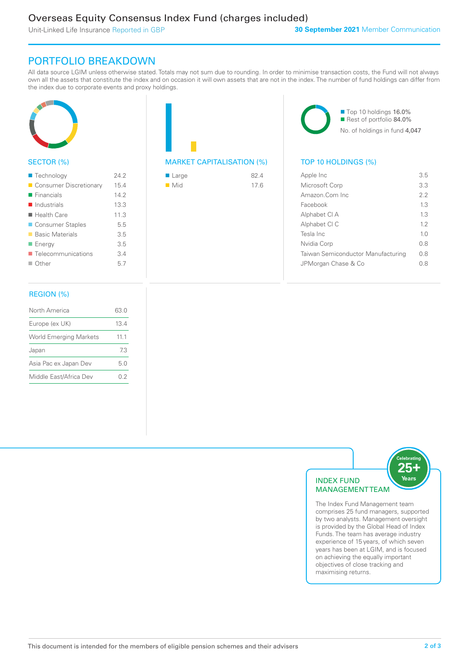Unit-Linked Life Insurance Reported in GBP

# PORTFOLIO BREAKDOWN

All data source LGIM unless otherwise stated. Totals may not sum due to rounding. In order to minimise transaction costs, the Fund will not always own all the assets that constitute the index and on occasion it will own assets that are not in the index. The number of fund holdings can differ from the index due to corporate events and proxy holdings.



# SECTOR (%)

| ■ Technology               | 242  |
|----------------------------|------|
| Consumer Discretionary     | 15.4 |
| $\blacksquare$ Financials  | 14.2 |
| $\blacksquare$ Industrials | 13.3 |
| $\blacksquare$ Health Care | 11.3 |
| ■ Consumer Staples         | 5.5  |
| ■ Basic Materials          | 3.5  |
| ■ Energy                   | 3.5  |
| ■ Telecommunications       | 3.4  |
| $\Box$ Other               | 5.7  |
|                            |      |

# MARKET CAPITALISATION (%) TOP 10 HOLDINGS (%)

| $\blacksquare$ Large | 824  |
|----------------------|------|
| $\blacksquare$ Mid   | 17.6 |

■ Top 10 holdings 16.0% Rest of portfolio 84.0% No. of holdings in fund 4,047

| Apple Inc                          | 3.5            |
|------------------------------------|----------------|
| Microsoft Corp                     | 3.3            |
| Amazon.Com Inc.                    | 22             |
| Facebook                           | 13             |
| Alphabet CI A                      | 13             |
| Alphabet CI C                      | 12             |
| Tesla Inc                          | 1 <sub>0</sub> |
| Nvidia Corp                        | 08             |
| Taiwan Semiconductor Manufacturing | 0 S            |
| JPMorgan Chase & Co                | 0 8            |
|                                    |                |

# REGION (%)

| North America                 | 63.0 |
|-------------------------------|------|
| Europe (ex UK)                | 13.4 |
| <b>World Emerging Markets</b> | 11.1 |
| Japan                         | 73   |
| Asia Pac ex Japan Dev         | 5.0  |
| Middle East/Africa Dev        | 02   |
|                               |      |



The Index Fund Management team comprises 25 fund managers, supported by two analysts. Management oversight is provided by the Global Head of Index Funds. The team has average industry experience of 15 years, of which seven years has been at LGIM, and is focused on achieving the equally important objectives of close tracking and maximising returns.